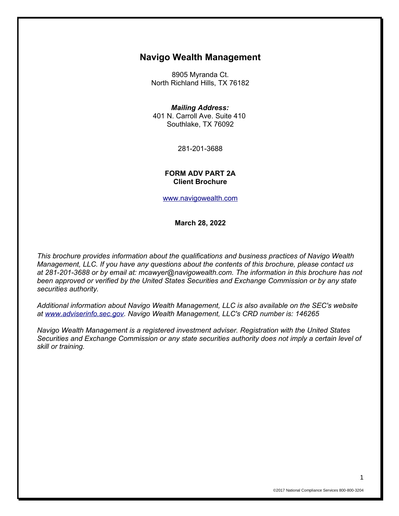## **Navigo Wealth Management**

8905 Myranda Ct. North Richland Hills, TX 76182

#### *Mailing Address:*

401 N. Carroll Ave. Suite 410 Southlake, TX 76092

281-201-3688

#### **FORM ADV PART 2A Client Brochure**

[www.navigowealth.com](http://www.navigowealth.com/)

**March 28, 2022**

*This brochure provides information about the qualifications and business practices of Navigo Wealth Management, LLC. If you have any questions about the contents of this brochure, please contact us at 281-201-3688 or by email at: mcawyer@navigowealth.com. The information in this brochure has not been approved or verified by the United States Securities and Exchange Commission or by any state securities authority.* 

*Additional information about Navigo Wealth Management, LLC is also available on the SEC's website at [www.adviserinfo.sec.gov.](http://www.adviserinfo.sec.gov/) Navigo Wealth Management, LLC's CRD number is: 146265*

*Navigo Wealth Management is a registered investment adviser. Registration with the United States Securities and Exchange Commission or any state securities authority does not imply a certain level of skill or training.*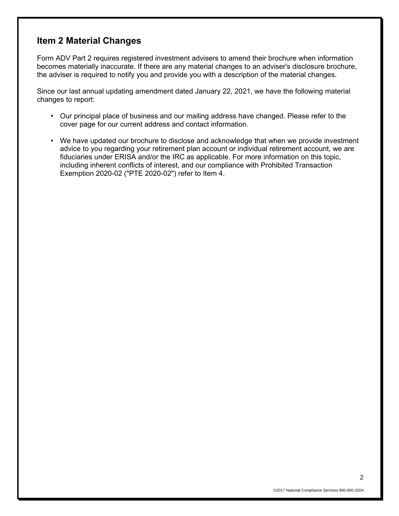## **Item 2 Material Changes**

Form ADV Part 2 requires registered investment advisers to amend their brochure when information becomes materially inaccurate. If there are any material changes to an adviser's disclosure brochure, the adviser is required to notify you and provide you with a description of the material changes.

Since our last annual updating amendment dated January 22, 2021, we have the following material changes to report:

- Our principal place of business and our mailing address have changed. Please refer to the cover page for our current address and contact information.
- We have updated our brochure to disclose and acknowledge that when we provide investment advice to you regarding your retirement plan account or individual retirement account, we are fiduciaries under ERISA and/or the IRC as applicable. For more information on this topic, including inherent conflicts of interest, and our compliance with Prohibited Transaction Exemption 2020-02 ("PTE 2020-02") refer to Item 4.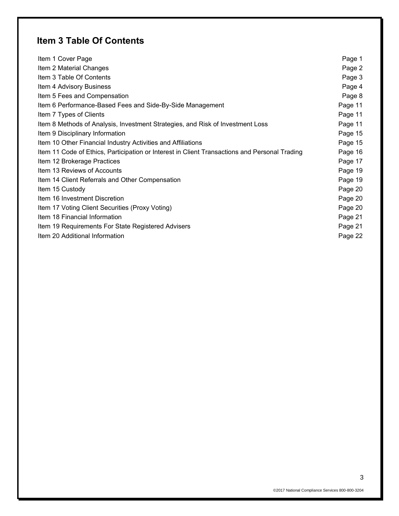# **Item 3 Table Of Contents**

| Item 1 Cover Page                                                                             | Page 1  |
|-----------------------------------------------------------------------------------------------|---------|
| Item 2 Material Changes                                                                       | Page 2  |
| Item 3 Table Of Contents                                                                      | Page 3  |
| Item 4 Advisory Business                                                                      | Page 4  |
| Item 5 Fees and Compensation                                                                  | Page 8  |
| Item 6 Performance-Based Fees and Side-By-Side Management                                     | Page 11 |
| Item 7 Types of Clients                                                                       | Page 11 |
| Item 8 Methods of Analysis, Investment Strategies, and Risk of Investment Loss                | Page 11 |
| Item 9 Disciplinary Information                                                               | Page 15 |
| Item 10 Other Financial Industry Activities and Affiliations                                  | Page 15 |
| Item 11 Code of Ethics, Participation or Interest in Client Transactions and Personal Trading | Page 16 |
| Item 12 Brokerage Practices                                                                   | Page 17 |
| Item 13 Reviews of Accounts                                                                   | Page 19 |
| Item 14 Client Referrals and Other Compensation                                               | Page 19 |
| Item 15 Custody                                                                               | Page 20 |
| Item 16 Investment Discretion                                                                 | Page 20 |
| Item 17 Voting Client Securities (Proxy Voting)                                               | Page 20 |
| Item 18 Financial Information                                                                 | Page 21 |
| Item 19 Requirements For State Registered Advisers                                            | Page 21 |
| Item 20 Additional Information                                                                | Page 22 |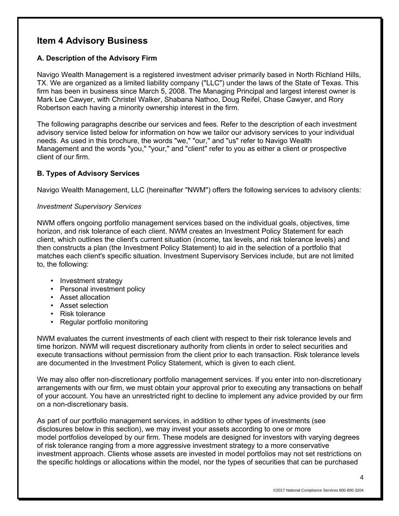# **Item 4 Advisory Business**

### **A. Description of the Advisory Firm**

Navigo Wealth Management is a registered investment adviser primarily based in North Richland Hills, TX. We are organized as a limited liability company ("LLC") under the laws of the State of Texas. This firm has been in business since March 5, 2008. The Managing Principal and largest interest owner is Mark Lee Cawyer, with Christel Walker, Shabana Nathoo, Doug Reifel, Chase Cawyer, and Rory Robertson each having a minority ownership interest in the firm.

The following paragraphs describe our services and fees. Refer to the description of each investment advisory service listed below for information on how we tailor our advisory services to your individual needs. As used in this brochure, the words "we," "our," and "us" refer to Navigo Wealth Management and the words "you," "your," and "client" refer to you as either a client or prospective client of our firm.

### **B. Types of Advisory Services**

Navigo Wealth Management, LLC (hereinafter "NWM") offers the following services to advisory clients:

### *Investment Supervisory Services*

NWM offers ongoing portfolio management services based on the individual goals, objectives, time horizon, and risk tolerance of each client. NWM creates an Investment Policy Statement for each client, which outlines the client's current situation (income, tax levels, and risk tolerance levels) and then constructs a plan (the Investment Policy Statement) to aid in the selection of a portfolio that matches each client's specific situation. Investment Supervisory Services include, but are not limited to, the following:

- Investment strategy
- Personal investment policy
- Asset allocation
- Asset selection
- Risk tolerance
- Regular portfolio monitoring

NWM evaluates the current investments of each client with respect to their risk tolerance levels and time horizon. NWM will request discretionary authority from clients in order to select securities and execute transactions without permission from the client prior to each transaction. Risk tolerance levels are documented in the Investment Policy Statement, which is given to each client.

We may also offer non-discretionary portfolio management services. If you enter into non-discretionary arrangements with our firm, we must obtain your approval prior to executing any transactions on behalf of your account. You have an unrestricted right to decline to implement any advice provided by our firm on a non-discretionary basis.

As part of our portfolio management services, in addition to other types of investments (see disclosures below in this section), we may invest your assets according to one or more model portfolios developed by our firm. These models are designed for investors with varying degrees of risk tolerance ranging from a more aggressive investment strategy to a more conservative investment approach. Clients whose assets are invested in model portfolios may not set restrictions on the specific holdings or allocations within the model, nor the types of securities that can be purchased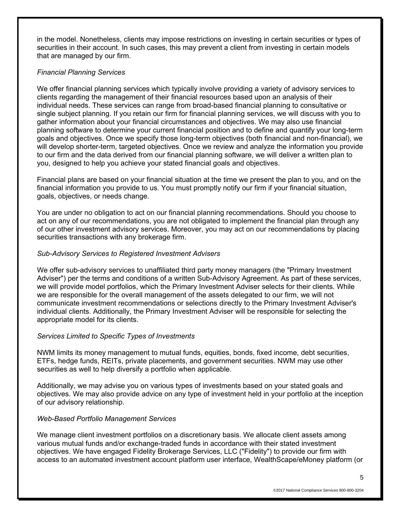in the model. Nonetheless, clients may impose restrictions on investing in certain securities or types of securities in their account. In such cases, this may prevent a client from investing in certain models that are managed by our firm.

### *Financial Planning Services*

We offer financial planning services which typically involve providing a variety of advisory services to clients regarding the management of their financial resources based upon an analysis of their individual needs. These services can range from broad-based financial planning to consultative or single subject planning. If you retain our firm for financial planning services, we will discuss with you to gather information about your financial circumstances and objectives. We may also use financial planning software to determine your current financial position and to define and quantify your long-term goals and objectives. Once we specify those long-term objectives (both financial and non-financial), we will develop shorter-term, targeted objectives. Once we review and analyze the information you provide to our firm and the data derived from our financial planning software, we will deliver a written plan to you, designed to help you achieve your stated financial goals and objectives.

Financial plans are based on your financial situation at the time we present the plan to you, and on the financial information you provide to us. You must promptly notify our firm if your financial situation, goals, objectives, or needs change.

You are under no obligation to act on our financial planning recommendations. Should you choose to act on any of our recommendations, you are not obligated to implement the financial plan through any of our other investment advisory services. Moreover, you may act on our recommendations by placing securities transactions with any brokerage firm.

### *Sub-Advisory Services to Registered Investment Advisers*

We offer sub-advisory services to unaffiliated third party money managers (the "Primary Investment Adviser") per the terms and conditions of a written Sub-Advisory Agreement. As part of these services, we will provide model portfolios, which the Primary Investment Adviser selects for their clients. While we are responsible for the overall management of the assets delegated to our firm, we will not communicate investment recommendations or selections directly to the Primary Investment Adviser's individual clients. Additionally, the Primary Investment Adviser will be responsible for selecting the appropriate model for its clients.

### *Services Limited to Specific Types of Investments*

NWM limits its money management to mutual funds, equities, bonds, fixed income, debt securities, ETFs, hedge funds, REITs, private placements, and government securities. NWM may use other securities as well to help diversify a portfolio when applicable.

Additionally, we may advise you on various types of investments based on your stated goals and objectives. We may also provide advice on any type of investment held in your portfolio at the inception of our advisory relationship.

### *Web-Based Portfolio Management Services*

We manage client investment portfolios on a discretionary basis. We allocate client assets among various mutual funds and/or exchange-traded funds in accordance with their stated investment objectives. We have engaged Fidelity Brokerage Services, LLC ("Fidelity") to provide our firm with access to an automated investment account platform user interface, WealthScape/eMoney platform (or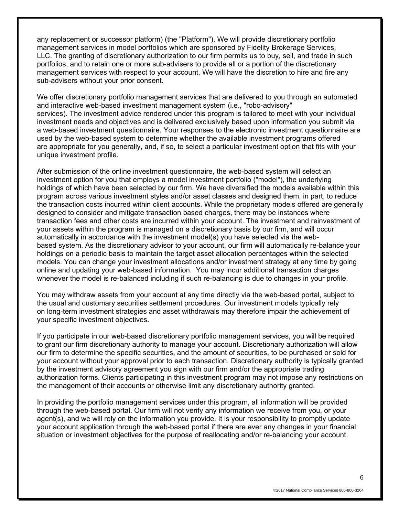any replacement or successor platform) (the "Platform"). We will provide discretionary portfolio management services in model portfolios which are sponsored by Fidelity Brokerage Services, LLC. The granting of discretionary authorization to our firm permits us to buy, sell, and trade in such portfolios, and to retain one or more sub-advisers to provide all or a portion of the discretionary management services with respect to your account. We will have the discretion to hire and fire any sub-advisers without your prior consent.

We offer discretionary portfolio management services that are delivered to you through an automated and interactive web-based investment management system (i.e., "robo-advisory" services). The investment advice rendered under this program is tailored to meet with your individual investment needs and objectives and is delivered exclusively based upon information you submit via a web-based investment questionnaire. Your responses to the electronic investment questionnaire are used by the web-based system to determine whether the available investment programs offered are appropriate for you generally, and, if so, to select a particular investment option that fits with your unique investment profile.

After submission of the online investment questionnaire, the web-based system will select an investment option for you that employs a model investment portfolio ("model"), the underlying holdings of which have been selected by our firm. We have diversified the models available within this program across various investment styles and/or asset classes and designed them, in part, to reduce the transaction costs incurred within client accounts. While the proprietary models offered are generally designed to consider and mitigate transaction based charges, there may be instances where transaction fees and other costs are incurred within your account. The investment and reinvestment of your assets within the program is managed on a discretionary basis by our firm, and will occur automatically in accordance with the investment model(s) you have selected via the webbased system. As the discretionary advisor to your account, our firm will automatically re-balance your holdings on a periodic basis to maintain the target asset allocation percentages within the selected models. You can change your investment allocations and/or investment strategy at any time by going online and updating your web-based information. You may incur additional transaction charges whenever the model is re-balanced including if such re-balancing is due to changes in your profile.

You may withdraw assets from your account at any time directly via the web-based portal, subject to the usual and customary securities settlement procedures. Our investment models typically rely on long-term investment strategies and asset withdrawals may therefore impair the achievement of your specific investment objectives.

If you participate in our web-based discretionary portfolio management services, you will be required to grant our firm discretionary authority to manage your account. Discretionary authorization will allow our firm to determine the specific securities, and the amount of securities, to be purchased or sold for your account without your approval prior to each transaction. Discretionary authority is typically granted by the investment advisory agreement you sign with our firm and/or the appropriate trading authorization forms. Clients participating in this investment program may not impose any restrictions on the management of their accounts or otherwise limit any discretionary authority granted.

In providing the portfolio management services under this program, all information will be provided through the web-based portal. Our firm will not verify any information we receive from you, or your agent(s), and we will rely on the information you provide. It is your responsibility to promptly update your account application through the web-based portal if there are ever any changes in your financial situation or investment objectives for the purpose of reallocating and/or re-balancing your account.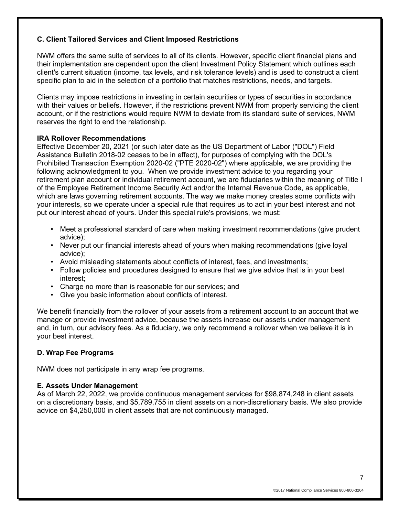### **C. Client Tailored Services and Client Imposed Restrictions**

NWM offers the same suite of services to all of its clients. However, specific client financial plans and their implementation are dependent upon the client Investment Policy Statement which outlines each client's current situation (income, tax levels, and risk tolerance levels) and is used to construct a client specific plan to aid in the selection of a portfolio that matches restrictions, needs, and targets.

Clients may impose restrictions in investing in certain securities or types of securities in accordance with their values or beliefs. However, if the restrictions prevent NWM from properly servicing the client account, or if the restrictions would require NWM to deviate from its standard suite of services, NWM reserves the right to end the relationship.

#### **IRA Rollover Recommendations**

Effective December 20, 2021 (or such later date as the US Department of Labor ("DOL") Field Assistance Bulletin 2018-02 ceases to be in effect), for purposes of complying with the DOL's Prohibited Transaction Exemption 2020-02 ("PTE 2020-02") where applicable, we are providing the following acknowledgment to you. When we provide investment advice to you regarding your retirement plan account or individual retirement account, we are fiduciaries within the meaning of Title I of the Employee Retirement Income Security Act and/or the Internal Revenue Code, as applicable, which are laws governing retirement accounts. The way we make money creates some conflicts with your interests, so we operate under a special rule that requires us to act in your best interest and not put our interest ahead of yours. Under this special rule's provisions, we must:

- Meet a professional standard of care when making investment recommendations (give prudent advice);
- Never put our financial interests ahead of yours when making recommendations (give loyal advice);
- Avoid misleading statements about conflicts of interest, fees, and investments;
- Follow policies and procedures designed to ensure that we give advice that is in your best interest;
- Charge no more than is reasonable for our services; and
- Give you basic information about conflicts of interest.

We benefit financially from the rollover of your assets from a retirement account to an account that we manage or provide investment advice, because the assets increase our assets under management and, in turn, our advisory fees. As a fiduciary, we only recommend a rollover when we believe it is in your best interest.

### **D. Wrap Fee Programs**

NWM does not participate in any wrap fee programs.

#### **E. Assets Under Management**

As of March 22, 2022, we provide continuous management services for \$98,874,248 in client assets on a discretionary basis, and \$5,789,755 in client assets on a non-discretionary basis. We also provide advice on \$4,250,000 in client assets that are not continuously managed.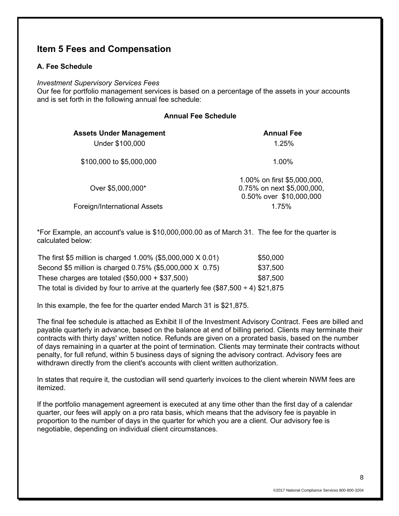## **Item 5 Fees and Compensation**

### **A. Fee Schedule**

#### *Investment Supervisory Services Fees*

Our fee for portfolio management services is based on a percentage of the assets in your accounts and is set forth in the following annual fee schedule:

| <b>Annual Fee Schedule</b>                        |                                                                                      |  |
|---------------------------------------------------|--------------------------------------------------------------------------------------|--|
| <b>Assets Under Management</b><br>Under \$100,000 | <b>Annual Fee</b><br>1.25%                                                           |  |
| \$100,000 to \$5,000,000                          | 1.00%                                                                                |  |
| Over \$5,000,000*                                 | 1.00% on first \$5,000,000,<br>0.75% on next \$5,000,000,<br>0.50% over \$10,000,000 |  |
| Foreign/International Assets                      | 1.75%                                                                                |  |

\*For Example, an account's value is \$10,000,000.00 as of March 31. The fee for the quarter is calculated below:

| The first \$5 million is charged 1.00% (\$5,000,000 X 0.01)                              | \$50,000 |
|------------------------------------------------------------------------------------------|----------|
| Second \$5 million is charged 0.75% (\$5,000,000 X 0.75)                                 | \$37,500 |
| These charges are totaled $(\$50,000 + \$37,500)$                                        | \$87,500 |
| The total is divided by four to arrive at the quarterly fee $(\$87,500 \div 4) \$21,875$ |          |

In this example, the fee for the quarter ended March 31 is \$21,875.

The final fee schedule is attached as Exhibit II of the Investment Advisory Contract. Fees are billed and payable quarterly in advance, based on the balance at end of billing period. Clients may terminate their contracts with thirty days' written notice. Refunds are given on a prorated basis, based on the number of days remaining in a quarter at the point of termination. Clients may terminate their contracts without penalty, for full refund, within 5 business days of signing the advisory contract. Advisory fees are withdrawn directly from the client's accounts with client written authorization.

In states that require it, the custodian will send quarterly invoices to the client wherein NWM fees are itemized.

If the portfolio management agreement is executed at any time other than the first day of a calendar quarter, our fees will apply on a pro rata basis, which means that the advisory fee is payable in proportion to the number of days in the quarter for which you are a client. Our advisory fee is negotiable, depending on individual client circumstances.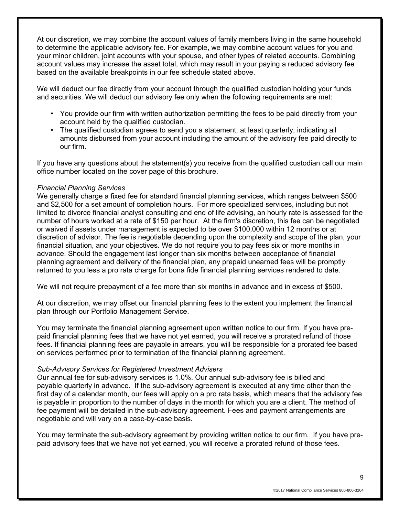At our discretion, we may combine the account values of family members living in the same household to determine the applicable advisory fee. For example, we may combine account values for you and your minor children, joint accounts with your spouse, and other types of related accounts. Combining account values may increase the asset total, which may result in your paying a reduced advisory fee based on the available breakpoints in our fee schedule stated above.

We will deduct our fee directly from your account through the qualified custodian holding your funds and securities. We will deduct our advisory fee only when the following requirements are met:

- You provide our firm with written authorization permitting the fees to be paid directly from your account held by the qualified custodian.
- The qualified custodian agrees to send you a statement, at least quarterly, indicating all amounts disbursed from your account including the amount of the advisory fee paid directly to our firm.

If you have any questions about the statement(s) you receive from the qualified custodian call our main office number located on the cover page of this brochure.

#### *Financial Planning Services*

We generally charge a fixed fee for standard financial planning services, which ranges between \$500 and \$2,500 for a set amount of completion hours. For more specialized services, including but not limited to divorce financial analyst consulting and end of life advising, an hourly rate is assessed for the number of hours worked at a rate of \$150 per hour. At the firm's discretion, this fee can be negotiated or waived if assets under management is expected to be over \$100,000 within 12 months or at discretion of advisor. The fee is negotiable depending upon the complexity and scope of the plan, your financial situation, and your objectives. We do not require you to pay fees six or more months in advance. Should the engagement last longer than six months between acceptance of financial planning agreement and delivery of the financial plan, any prepaid unearned fees will be promptly returned to you less a pro rata charge for bona fide financial planning services rendered to date.

We will not require prepayment of a fee more than six months in advance and in excess of \$500.

At our discretion, we may offset our financial planning fees to the extent you implement the financial plan through our Portfolio Management Service.

You may terminate the financial planning agreement upon written notice to our firm. If you have prepaid financial planning fees that we have not yet earned, you will receive a prorated refund of those fees. If financial planning fees are payable in arrears, you will be responsible for a prorated fee based on services performed prior to termination of the financial planning agreement.

### *Sub-Advisory Services for Registered Investment Advisers*

Our annual fee for sub-advisory services is 1.0%. Our annual sub-advisory fee is billed and payable quarterly in advance. If the sub-advisory agreement is executed at any time other than the first day of a calendar month, our fees will apply on a pro rata basis, which means that the advisory fee is payable in proportion to the number of days in the month for which you are a client. The method of fee payment will be detailed in the sub-advisory agreement. Fees and payment arrangements are negotiable and will vary on a case-by-case basis.

You may terminate the sub-advisory agreement by providing written notice to our firm. If you have prepaid advisory fees that we have not yet earned, you will receive a prorated refund of those fees.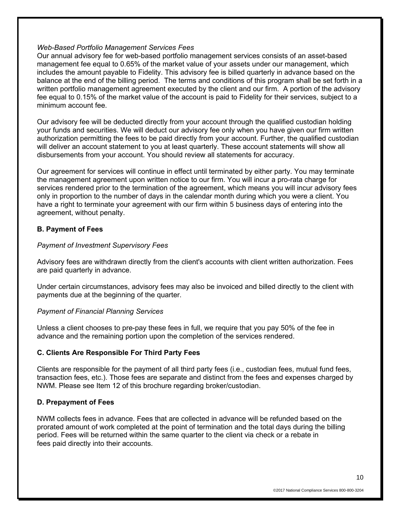#### *Web-Based Portfolio Management Services Fees*

Our annual advisory fee for web-based portfolio management services consists of an asset-based management fee equal to 0.65% of the market value of your assets under our management, which includes the amount payable to Fidelity. This advisory fee is billed quarterly in advance based on the balance at the end of the billing period. The terms and conditions of this program shall be set forth in a written portfolio management agreement executed by the client and our firm. A portion of the advisory fee equal to 0.15% of the market value of the account is paid to Fidelity for their services, subject to a minimum account fee.

Our advisory fee will be deducted directly from your account through the qualified custodian holding your funds and securities. We will deduct our advisory fee only when you have given our firm written authorization permitting the fees to be paid directly from your account. Further, the qualified custodian will deliver an account statement to you at least quarterly. These account statements will show all disbursements from your account. You should review all statements for accuracy.

Our agreement for services will continue in effect until terminated by either party. You may terminate the management agreement upon written notice to our firm. You will incur a pro-rata charge for services rendered prior to the termination of the agreement, which means you will incur advisory fees only in proportion to the number of days in the calendar month during which you were a client. You have a right to terminate your agreement with our firm within 5 business days of entering into the agreement, without penalty.

### **B. Payment of Fees**

### *Payment of Investment Supervisory Fees*

Advisory fees are withdrawn directly from the client's accounts with client written authorization. Fees are paid quarterly in advance.

Under certain circumstances, advisory fees may also be invoiced and billed directly to the client with payments due at the beginning of the quarter.

#### *Payment of Financial Planning Services*

Unless a client chooses to pre-pay these fees in full, we require that you pay 50% of the fee in advance and the remaining portion upon the completion of the services rendered.

### **C. Clients Are Responsible For Third Party Fees**

Clients are responsible for the payment of all third party fees (i.e., custodian fees, mutual fund fees, transaction fees, etc.). Those fees are separate and distinct from the fees and expenses charged by NWM. Please see Item 12 of this brochure regarding broker/custodian.

### **D. Prepayment of Fees**

NWM collects fees in advance. Fees that are collected in advance will be refunded based on the prorated amount of work completed at the point of termination and the total days during the billing period. Fees will be returned within the same quarter to the client via check or a rebate in fees paid directly into their accounts.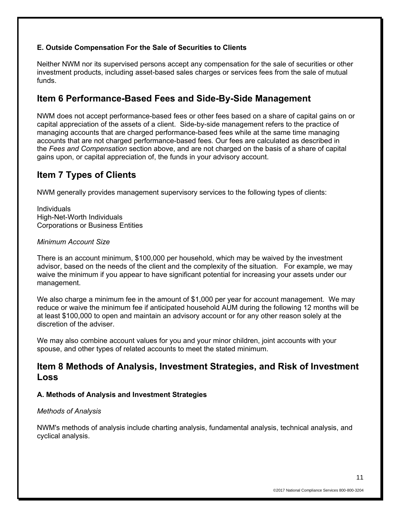### **E. Outside Compensation For the Sale of Securities to Clients**

Neither NWM nor its supervised persons accept any compensation for the sale of securities or other investment products, including asset-based sales charges or services fees from the sale of mutual funds.

## **Item 6 Performance-Based Fees and Side-By-Side Management**

NWM does not accept performance-based fees or other fees based on a share of capital gains on or capital appreciation of the assets of a client. Side-by-side management refers to the practice of managing accounts that are charged performance-based fees while at the same time managing accounts that are not charged performance-based fees. Our fees are calculated as described in the *Fees and Compensation* section above, and are not charged on the basis of a share of capital gains upon, or capital appreciation of, the funds in your advisory account.

# **Item 7 Types of Clients**

NWM generally provides management supervisory services to the following types of clients:

Individuals High-Net-Worth Individuals Corporations or Business Entities

#### *Minimum Account Size*

There is an account minimum, \$100,000 per household, which may be waived by the investment advisor, based on the needs of the client and the complexity of the situation. For example, we may waive the minimum if you appear to have significant potential for increasing your assets under our management.

We also charge a minimum fee in the amount of \$1,000 per year for account management. We may reduce or waive the minimum fee if anticipated household AUM during the following 12 months will be at least \$100,000 to open and maintain an advisory account or for any other reason solely at the discretion of the adviser.

We may also combine account values for you and your minor children, joint accounts with your spouse, and other types of related accounts to meet the stated minimum.

## **Item 8 Methods of Analysis, Investment Strategies, and Risk of Investment Loss**

## **A. Methods of Analysis and Investment Strategies**

### *Methods of Analysis*

NWM's methods of analysis include charting analysis, fundamental analysis, technical analysis, and cyclical analysis.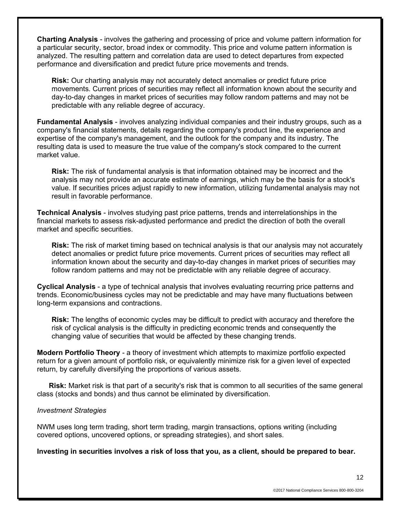**Charting Analysis** - involves the gathering and processing of price and volume pattern information for a particular security, sector, broad index or commodity. This price and volume pattern information is analyzed. The resulting pattern and correlation data are used to detect departures from expected performance and diversification and predict future price movements and trends.

**Risk:** Our charting analysis may not accurately detect anomalies or predict future price movements. Current prices of securities may reflect all information known about the security and day-to-day changes in market prices of securities may follow random patterns and may not be predictable with any reliable degree of accuracy.

**Fundamental Analysis** - involves analyzing individual companies and their industry groups, such as a company's financial statements, details regarding the company's product line, the experience and expertise of the company's management, and the outlook for the company and its industry. The resulting data is used to measure the true value of the company's stock compared to the current market value.

**Risk:** The risk of fundamental analysis is that information obtained may be incorrect and the analysis may not provide an accurate estimate of earnings, which may be the basis for a stock's value. If securities prices adjust rapidly to new information, utilizing fundamental analysis may not result in favorable performance.

**Technical Analysis** - involves studying past price patterns, trends and interrelationships in the financial markets to assess risk-adjusted performance and predict the direction of both the overall market and specific securities.

**Risk:** The risk of market timing based on technical analysis is that our analysis may not accurately detect anomalies or predict future price movements. Current prices of securities may reflect all information known about the security and day-to-day changes in market prices of securities may follow random patterns and may not be predictable with any reliable degree of accuracy.

**Cyclical Analysis** - a type of technical analysis that involves evaluating recurring price patterns and trends. Economic/business cycles may not be predictable and may have many fluctuations between long-term expansions and contractions.

**Risk:** The lengths of economic cycles may be difficult to predict with accuracy and therefore the risk of cyclical analysis is the difficulty in predicting economic trends and consequently the changing value of securities that would be affected by these changing trends.

**Modern Portfolio Theory** - a theory of investment which attempts to maximize portfolio expected return for a given amount of portfolio risk, or equivalently minimize risk for a given level of expected return, by carefully diversifying the proportions of various assets.

**Risk:** Market risk is that part of a security's risk that is common to all securities of the same general class (stocks and bonds) and thus cannot be eliminated by diversification.

#### *Investment Strategies*

NWM uses long term trading, short term trading, margin transactions, options writing (including covered options, uncovered options, or spreading strategies), and short sales.

**Investing in securities involves a risk of loss that you, as a client, should be prepared to bear.**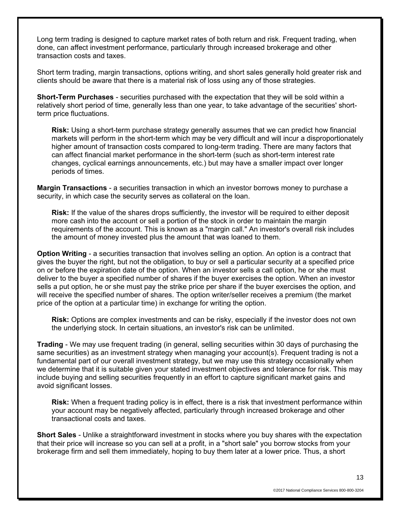Long term trading is designed to capture market rates of both return and risk. Frequent trading, when done, can affect investment performance, particularly through increased brokerage and other transaction costs and taxes.

Short term trading, margin transactions, options writing, and short sales generally hold greater risk and clients should be aware that there is a material risk of loss using any of those strategies.

**Short-Term Purchases** - securities purchased with the expectation that they will be sold within a relatively short period of time, generally less than one year, to take advantage of the securities' shortterm price fluctuations.

**Risk:** Using a short-term purchase strategy generally assumes that we can predict how financial markets will perform in the short-term which may be very difficult and will incur a disproportionately higher amount of transaction costs compared to long-term trading. There are many factors that can affect financial market performance in the short-term (such as short-term interest rate changes, cyclical earnings announcements, etc.) but may have a smaller impact over longer periods of times.

**Margin Transactions** - a securities transaction in which an investor borrows money to purchase a security, in which case the security serves as collateral on the loan.

**Risk:** If the value of the shares drops sufficiently, the investor will be required to either deposit more cash into the account or sell a portion of the stock in order to maintain the margin requirements of the account. This is known as a "margin call." An investor's overall risk includes the amount of money invested plus the amount that was loaned to them.

**Option Writing** - a securities transaction that involves selling an option. An option is a contract that gives the buyer the right, but not the obligation, to buy or sell a particular security at a specified price on or before the expiration date of the option. When an investor sells a call option, he or she must deliver to the buyer a specified number of shares if the buyer exercises the option. When an investor sells a put option, he or she must pay the strike price per share if the buyer exercises the option, and will receive the specified number of shares. The option writer/seller receives a premium (the market price of the option at a particular time) in exchange for writing the option.

**Risk:** Options are complex investments and can be risky, especially if the investor does not own the underlying stock. In certain situations, an investor's risk can be unlimited.

**Trading** - We may use frequent trading (in general, selling securities within 30 days of purchasing the same securities) as an investment strategy when managing your account(s). Frequent trading is not a fundamental part of our overall investment strategy, but we may use this strategy occasionally when we determine that it is suitable given your stated investment objectives and tolerance for risk. This may include buying and selling securities frequently in an effort to capture significant market gains and avoid significant losses.

**Risk:** When a frequent trading policy is in effect, there is a risk that investment performance within your account may be negatively affected, particularly through increased brokerage and other transactional costs and taxes.

**Short Sales** - Unlike a straightforward investment in stocks where you buy shares with the expectation that their price will increase so you can sell at a profit, in a "short sale" you borrow stocks from your brokerage firm and sell them immediately, hoping to buy them later at a lower price. Thus, a short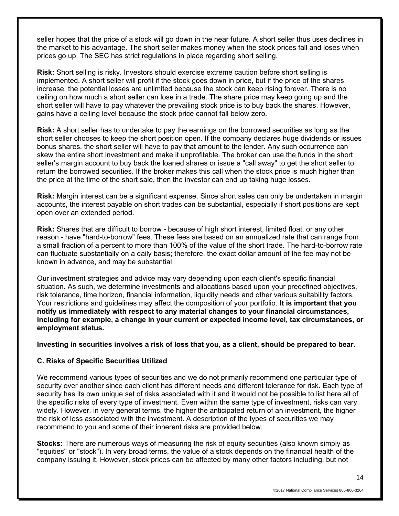seller hopes that the price of a stock will go down in the near future. A short seller thus uses declines in the market to his advantage. The short seller makes money when the stock prices fall and loses when prices go up. The SEC has strict regulations in place regarding short selling.

**Risk:** Short selling is risky. Investors should exercise extreme caution before short selling is implemented. A short seller will profit if the stock goes down in price, but if the price of the shares increase, the potential losses are unlimited because the stock can keep rising forever. There is no ceiling on how much a short seller can lose in a trade. The share price may keep going up and the short seller will have to pay whatever the prevailing stock price is to buy back the shares. However, gains have a ceiling level because the stock price cannot fall below zero.

**Risk:** A short seller has to undertake to pay the earnings on the borrowed securities as long as the short seller chooses to keep the short position open. If the company declares huge dividends or issues bonus shares, the short seller will have to pay that amount to the lender. Any such occurrence can skew the entire short investment and make it unprofitable. The broker can use the funds in the short seller's margin account to buy back the loaned shares or issue a "call away" to get the short seller to return the borrowed securities. If the broker makes this call when the stock price is much higher than the price at the time of the short sale, then the investor can end up taking huge losses.

**Risk:** Margin interest can be a significant expense. Since short sales can only be undertaken in margin accounts, the interest payable on short trades can be substantial, especially if short positions are kept open over an extended period.

**Risk:** Shares that are difficult to borrow - because of high short interest, limited float, or any other reason - have "hard-to-borrow" fees. These fees are based on an annualized rate that can range from a small fraction of a percent to more than 100% of the value of the short trade. The hard-to-borrow rate can fluctuate substantially on a daily basis; therefore, the exact dollar amount of the fee may not be known in advance, and may be substantial.

Our investment strategies and advice may vary depending upon each client's specific financial situation. As such, we determine investments and allocations based upon your predefined objectives, risk tolerance, time horizon, financial information, liquidity needs and other various suitability factors. Your restrictions and guidelines may affect the composition of your portfolio. **It is important that you notify us immediately with respect to any material changes to your financial circumstances, including for example, a change in your current or expected income level, tax circumstances, or employment status.**

**Investing in securities involves a risk of loss that you, as a client, should be prepared to bear.**

### **C. Risks of Specific Securities Utilized**

We recommend various types of securities and we do not primarily recommend one particular type of security over another since each client has different needs and different tolerance for risk. Each type of security has its own unique set of risks associated with it and it would not be possible to list here all of the specific risks of every type of investment. Even within the same type of investment, risks can vary widely. However, in very general terms, the higher the anticipated return of an investment, the higher the risk of loss associated with the investment. A description of the types of securities we may recommend to you and some of their inherent risks are provided below.

**Stocks:** There are numerous ways of measuring the risk of equity securities (also known simply as "equities" or "stock"). In very broad terms, the value of a stock depends on the financial health of the company issuing it. However, stock prices can be affected by many other factors including, but not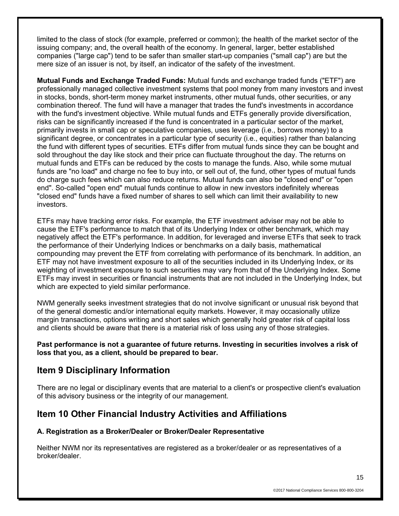limited to the class of stock (for example, preferred or common); the health of the market sector of the issuing company; and, the overall health of the economy. In general, larger, better established companies ("large cap") tend to be safer than smaller start-up companies ("small cap") are but the mere size of an issuer is not, by itself, an indicator of the safety of the investment.

**Mutual Funds and Exchange Traded Funds:** Mutual funds and exchange traded funds ("ETF") are professionally managed collective investment systems that pool money from many investors and invest in stocks, bonds, short-term money market instruments, other mutual funds, other securities, or any combination thereof. The fund will have a manager that trades the fund's investments in accordance with the fund's investment objective. While mutual funds and ETFs generally provide diversification, risks can be significantly increased if the fund is concentrated in a particular sector of the market, primarily invests in small cap or speculative companies, uses leverage (i.e., borrows money) to a significant degree, or concentrates in a particular type of security (i.e., equities) rather than balancing the fund with different types of securities. ETFs differ from mutual funds since they can be bought and sold throughout the day like stock and their price can fluctuate throughout the day. The returns on mutual funds and ETFs can be reduced by the costs to manage the funds. Also, while some mutual funds are "no load" and charge no fee to buy into, or sell out of, the fund, other types of mutual funds do charge such fees which can also reduce returns. Mutual funds can also be "closed end" or "open end". So-called "open end" mutual funds continue to allow in new investors indefinitely whereas "closed end" funds have a fixed number of shares to sell which can limit their availability to new investors.

ETFs may have tracking error risks. For example, the ETF investment adviser may not be able to cause the ETF's performance to match that of its Underlying Index or other benchmark, which may negatively affect the ETF's performance. In addition, for leveraged and inverse ETFs that seek to track the performance of their Underlying Indices or benchmarks on a daily basis, mathematical compounding may prevent the ETF from correlating with performance of its benchmark. In addition, an ETF may not have investment exposure to all of the securities included in its Underlying Index, or its weighting of investment exposure to such securities may vary from that of the Underlying Index. Some ETFs may invest in securities or financial instruments that are not included in the Underlying Index, but which are expected to yield similar performance.

NWM generally seeks investment strategies that do not involve significant or unusual risk beyond that of the general domestic and/or international equity markets. However, it may occasionally utilize margin transactions, options writing and short sales which generally hold greater risk of capital loss and clients should be aware that there is a material risk of loss using any of those strategies.

**Past performance is not a guarantee of future returns. Investing in securities involves a risk of loss that you, as a client, should be prepared to bear.** 

## **Item 9 Disciplinary Information**

There are no legal or disciplinary events that are material to a client's or prospective client's evaluation of this advisory business or the integrity of our management.

## **Item 10 Other Financial Industry Activities and Affiliations**

### **A. Registration as a Broker/Dealer or Broker/Dealer Representative**

Neither NWM nor its representatives are registered as a broker/dealer or as representatives of a broker/dealer.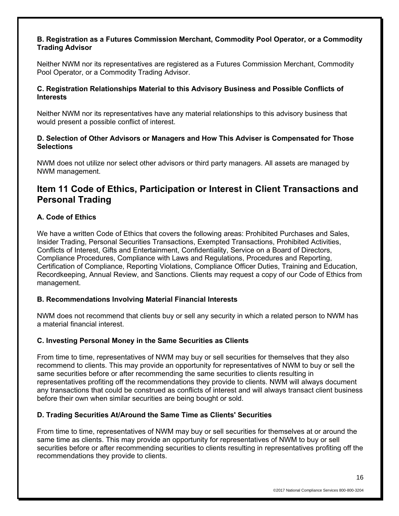### **B. Registration as a Futures Commission Merchant, Commodity Pool Operator, or a Commodity Trading Advisor**

Neither NWM nor its representatives are registered as a Futures Commission Merchant, Commodity Pool Operator, or a Commodity Trading Advisor.

#### **C. Registration Relationships Material to this Advisory Business and Possible Conflicts of Interests**

Neither NWM nor its representatives have any material relationships to this advisory business that would present a possible conflict of interest.

### **D. Selection of Other Advisors or Managers and How This Adviser is Compensated for Those Selections**

NWM does not utilize nor select other advisors or third party managers. All assets are managed by NWM management.

# **Item 11 Code of Ethics, Participation or Interest in Client Transactions and Personal Trading**

### **A. Code of Ethics**

We have a written Code of Ethics that covers the following areas: Prohibited Purchases and Sales, Insider Trading, Personal Securities Transactions, Exempted Transactions, Prohibited Activities, Conflicts of Interest, Gifts and Entertainment, Confidentiality, Service on a Board of Directors, Compliance Procedures, Compliance with Laws and Regulations, Procedures and Reporting, Certification of Compliance, Reporting Violations, Compliance Officer Duties, Training and Education, Recordkeeping, Annual Review, and Sanctions. Clients may request a copy of our Code of Ethics from management.

### **B. Recommendations Involving Material Financial Interests**

NWM does not recommend that clients buy or sell any security in which a related person to NWM has a material financial interest.

### **C. Investing Personal Money in the Same Securities as Clients**

From time to time, representatives of NWM may buy or sell securities for themselves that they also recommend to clients. This may provide an opportunity for representatives of NWM to buy or sell the same securities before or after recommending the same securities to clients resulting in representatives profiting off the recommendations they provide to clients. NWM will always document any transactions that could be construed as conflicts of interest and will always transact client business before their own when similar securities are being bought or sold.

### **D. Trading Securities At/Around the Same Time as Clients' Securities**

From time to time, representatives of NWM may buy or sell securities for themselves at or around the same time as clients. This may provide an opportunity for representatives of NWM to buy or sell securities before or after recommending securities to clients resulting in representatives profiting off the recommendations they provide to clients.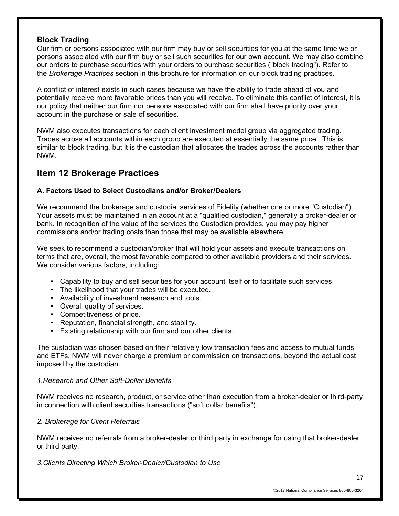### **Block Trading**

Our firm or persons associated with our firm may buy or sell securities for you at the same time we or persons associated with our firm buy or sell such securities for our own account. We may also combine our orders to purchase securities with your orders to purchase securities ("block trading"). Refer to the *Brokerage Practices* section in this brochure for information on our block trading practices.

A conflict of interest exists in such cases because we have the ability to trade ahead of you and potentially receive more favorable prices than you will receive. To eliminate this conflict of interest, it is our policy that neither our firm nor persons associated with our firm shall have priority over your account in the purchase or sale of securities.

NWM also executes transactions for each client investment model group via aggregated trading. Trades across all accounts within each group are executed at essentially the same price. This is similar to block trading, but it is the custodian that allocates the trades across the accounts rather than NWM.

## **Item 12 Brokerage Practices**

### **A. Factors Used to Select Custodians and/or Broker/Dealers**

We recommend the brokerage and custodial services of Fidelity (whether one or more "Custodian"). Your assets must be maintained in an account at a "qualified custodian," generally a broker-dealer or bank. In recognition of the value of the services the Custodian provides, you may pay higher commissions and/or trading costs than those that may be available elsewhere.

We seek to recommend a custodian/broker that will hold your assets and execute transactions on terms that are, overall, the most favorable compared to other available providers and their services. We consider various factors, including:

- Capability to buy and sell securities for your account itself or to facilitate such services.
- The likelihood that your trades will be executed.
- Availability of investment research and tools.
- Overall quality of services.
- Competitiveness of price.
- Reputation, financial strength, and stability.
- Existing relationship with our firm and our other clients.

The custodian was chosen based on their relatively low transaction fees and access to mutual funds and ETFs. NWM will never charge a premium or commission on transactions, beyond the actual cost imposed by the custodian.

### *1.Research and Other Soft-Dollar Benefits*

NWM receives no research, product, or service other than execution from a broker-dealer or third-party in connection with client securities transactions ("soft dollar benefits").

### *2. Brokerage for Client Referrals*

NWM receives no referrals from a broker-dealer or third party in exchange for using that broker-dealer or third party.

*3.Clients Directing Which Broker-Dealer/Custodian to Use*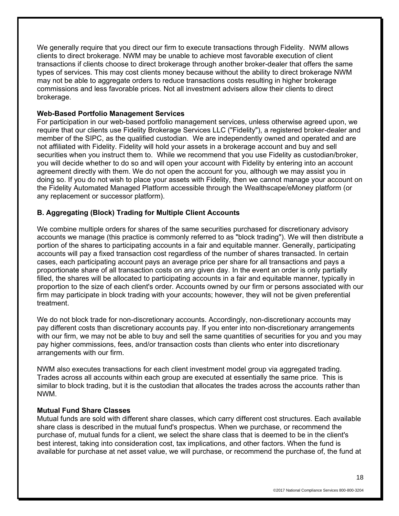We generally require that you direct our firm to execute transactions through Fidelity. NWM allows clients to direct brokerage. NWM may be unable to achieve most favorable execution of client transactions if clients choose to direct brokerage through another broker-dealer that offers the same types of services. This may cost clients money because without the ability to direct brokerage NWM may not be able to aggregate orders to reduce transactions costs resulting in higher brokerage commissions and less favorable prices. Not all investment advisers allow their clients to direct brokerage.

#### **Web-Based Portfolio Management Services**

For participation in our web-based portfolio management services, unless otherwise agreed upon, we require that our clients use Fidelity Brokerage Services LLC ("Fidelity"), a registered broker-dealer and member of the SIPC, as the qualified custodian. We are independently owned and operated and are not affiliated with Fidelity. Fidelity will hold your assets in a brokerage account and buy and sell securities when you instruct them to. While we recommend that you use Fidelity as custodian/broker, you will decide whether to do so and will open your account with Fidelity by entering into an account agreement directly with them. We do not open the account for you, although we may assist you in doing so. If you do not wish to place your assets with Fidelity, then we cannot manage your account on the Fidelity Automated Managed Platform accessible through the Wealthscape/eMoney platform (or any replacement or successor platform).

### **B. Aggregating (Block) Trading for Multiple Client Accounts**

We combine multiple orders for shares of the same securities purchased for discretionary advisory accounts we manage (this practice is commonly referred to as "block trading"). We will then distribute a portion of the shares to participating accounts in a fair and equitable manner. Generally, participating accounts will pay a fixed transaction cost regardless of the number of shares transacted. In certain cases, each participating account pays an average price per share for all transactions and pays a proportionate share of all transaction costs on any given day. In the event an order is only partially filled, the shares will be allocated to participating accounts in a fair and equitable manner, typically in proportion to the size of each client's order. Accounts owned by our firm or persons associated with our firm may participate in block trading with your accounts; however, they will not be given preferential treatment.

We do not block trade for non-discretionary accounts. Accordingly, non-discretionary accounts may pay different costs than discretionary accounts pay. If you enter into non-discretionary arrangements with our firm, we may not be able to buy and sell the same quantities of securities for you and you may pay higher commissions, fees, and/or transaction costs than clients who enter into discretionary arrangements with our firm.

NWM also executes transactions for each client investment model group via aggregated trading. Trades across all accounts within each group are executed at essentially the same price. This is similar to block trading, but it is the custodian that allocates the trades across the accounts rather than NWM.

#### **Mutual Fund Share Classes**

Mutual funds are sold with different share classes, which carry different cost structures. Each available share class is described in the mutual fund's prospectus. When we purchase, or recommend the purchase of, mutual funds for a client, we select the share class that is deemed to be in the client's best interest, taking into consideration cost, tax implications, and other factors. When the fund is available for purchase at net asset value, we will purchase, or recommend the purchase of, the fund at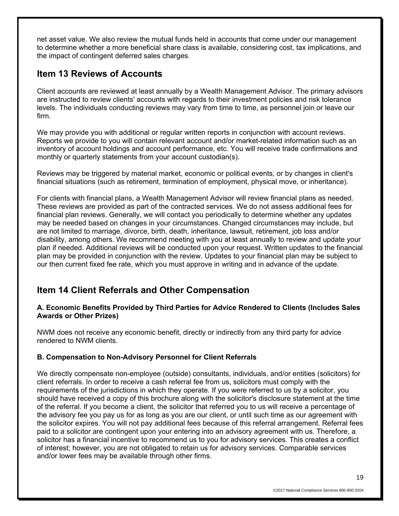net asset value. We also review the mutual funds held in accounts that come under our management to determine whether a more beneficial share class is available, considering cost, tax implications, and the impact of contingent deferred sales charges.

## **Item 13 Reviews of Accounts**

Client accounts are reviewed at least annually by a Wealth Management Advisor. The primary advisors are instructed to review clients' accounts with regards to their investment policies and risk tolerance levels. The individuals conducting reviews may vary from time to time, as personnel join or leave our firm.

We may provide you with additional or regular written reports in conjunction with account reviews. Reports we provide to you will contain relevant account and/or market-related information such as an inventory of account holdings and account performance, etc. You will receive trade confirmations and monthly or quarterly statements from your account custodian(s).

Reviews may be triggered by material market, economic or political events, or by changes in client's financial situations (such as retirement, termination of employment, physical move, or inheritance).

For clients with financial plans, a Wealth Management Advisor will review financial plans as needed. These reviews are provided as part of the contracted services. We do not assess additional fees for financial plan reviews. Generally, we will contact you periodically to determine whether any updates may be needed based on changes in your circumstances. Changed circumstances may include, but are not limited to marriage, divorce, birth, death, inheritance, lawsuit, retirement, job loss and/or disability, among others. We recommend meeting with you at least annually to review and update your plan if needed. Additional reviews will be conducted upon your request. Written updates to the financial plan may be provided in conjunction with the review. Updates to your financial plan may be subject to our then current fixed fee rate, which you must approve in writing and in advance of the update.

## **Item 14 Client Referrals and Other Compensation**

### **A. Economic Benefits Provided by Third Parties for Advice Rendered to Clients (Includes Sales Awards or Other Prizes)**

NWM does not receive any economic benefit, directly or indirectly from any third party for advice rendered to NWM clients.

## **B. Compensation to Non-Advisory Personnel for Client Referrals**

We directly compensate non-employee (outside) consultants, individuals, and/or entities (solicitors) for client referrals. In order to receive a cash referral fee from us, solicitors must comply with the requirements of the jurisdictions in which they operate. If you were referred to us by a solicitor, you should have received a copy of this brochure along with the solicitor's disclosure statement at the time of the referral. If you become a client, the solicitor that referred you to us will receive a percentage of the advisory fee you pay us for as long as you are our client, or until such time as our agreement with the solicitor expires. You will not pay additional fees because of this referral arrangement. Referral fees paid to a solicitor are contingent upon your entering into an advisory agreement with us. Therefore, a solicitor has a financial incentive to recommend us to you for advisory services. This creates a conflict of interest; however, you are not obligated to retain us for advisory services. Comparable services and/or lower fees may be available through other firms.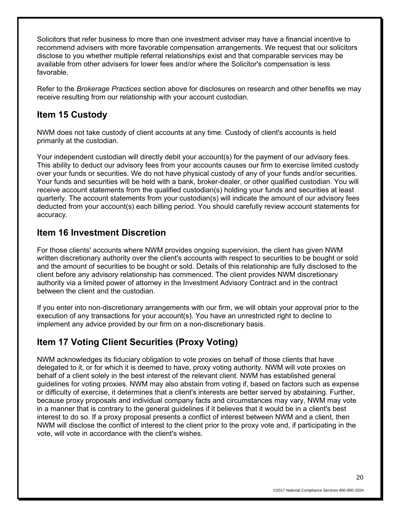Solicitors that refer business to more than one investment adviser may have a financial incentive to recommend advisers with more favorable compensation arrangements. We request that our solicitors disclose to you whether multiple referral relationships exist and that comparable services may be available from other advisers for lower fees and/or where the Solicitor's compensation is less favorable.

Refer to the *Brokerage Practices* section above for disclosures on research and other benefits we may receive resulting from our relationship with your account custodian.

# **Item 15 Custody**

NWM does not take custody of client accounts at any time. Custody of client's accounts is held primarily at the custodian.

Your independent custodian will directly debit your account(s) for the payment of our advisory fees. This ability to deduct our advisory fees from your accounts causes our firm to exercise limited custody over your funds or securities. We do not have physical custody of any of your funds and/or securities. Your funds and securities will be held with a bank, broker-dealer, or other qualified custodian. You will receive account statements from the qualified custodian(s) holding your funds and securities at least quarterly. The account statements from your custodian(s) will indicate the amount of our advisory fees deducted from your account(s) each billing period. You should carefully review account statements for accuracy.

## **Item 16 Investment Discretion**

For those clients' accounts where NWM provides ongoing supervision, the client has given NWM written discretionary authority over the client's accounts with respect to securities to be bought or sold and the amount of securities to be bought or sold. Details of this relationship are fully disclosed to the client before any advisory relationship has commenced. The client provides NWM discretionary authority via a limited power of attorney in the Investment Advisory Contract and in the contract between the client and the custodian.

If you enter into non-discretionary arrangements with our firm, we will obtain your approval prior to the execution of any transactions for your account(s). You have an unrestricted right to decline to implement any advice provided by our firm on a non-discretionary basis.

# **Item 17 Voting Client Securities (Proxy Voting)**

NWM acknowledges its fiduciary obligation to vote proxies on behalf of those clients that have delegated to it, or for which it is deemed to have, proxy voting authority. NWM will vote proxies on behalf of a client solely in the best interest of the relevant client. NWM has established general guidelines for voting proxies. NWM may also abstain from voting if, based on factors such as expense or difficulty of exercise, it determines that a client's interests are better served by abstaining. Further, because proxy proposals and individual company facts and circumstances may vary, NWM may vote in a manner that is contrary to the general guidelines if it believes that it would be in a client's best interest to do so. If a proxy proposal presents a conflict of interest between NWM and a client, then NWM will disclose the conflict of interest to the client prior to the proxy vote and, if participating in the vote, will vote in accordance with the client's wishes.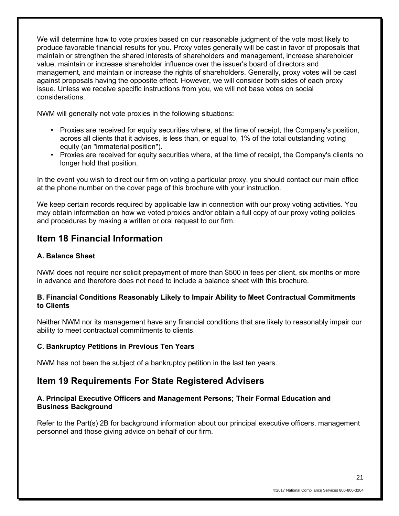We will determine how to vote proxies based on our reasonable judgment of the vote most likely to produce favorable financial results for you. Proxy votes generally will be cast in favor of proposals that maintain or strengthen the shared interests of shareholders and management, increase shareholder value, maintain or increase shareholder influence over the issuer's board of directors and management, and maintain or increase the rights of shareholders. Generally, proxy votes will be cast against proposals having the opposite effect. However, we will consider both sides of each proxy issue. Unless we receive specific instructions from you, we will not base votes on social considerations.

NWM will generally not vote proxies in the following situations:

- Proxies are received for equity securities where, at the time of receipt, the Company's position, across all clients that it advises, is less than, or equal to, 1% of the total outstanding voting equity (an "immaterial position").
- Proxies are received for equity securities where, at the time of receipt, the Company's clients no longer hold that position.

In the event you wish to direct our firm on voting a particular proxy, you should contact our main office at the phone number on the cover page of this brochure with your instruction.

We keep certain records required by applicable law in connection with our proxy voting activities. You may obtain information on how we voted proxies and/or obtain a full copy of our proxy voting policies and procedures by making a written or oral request to our firm.

## **Item 18 Financial Information**

### **A. Balance Sheet**

NWM does not require nor solicit prepayment of more than \$500 in fees per client, six months or more in advance and therefore does not need to include a balance sheet with this brochure.

### **B. Financial Conditions Reasonably Likely to Impair Ability to Meet Contractual Commitments to Clients**

Neither NWM nor its management have any financial conditions that are likely to reasonably impair our ability to meet contractual commitments to clients.

### **C. Bankruptcy Petitions in Previous Ten Years**

NWM has not been the subject of a bankruptcy petition in the last ten years.

## **Item 19 Requirements For State Registered Advisers**

### **A. Principal Executive Officers and Management Persons; Their Formal Education and Business Background**

Refer to the Part(s) 2B for background information about our principal executive officers, management personnel and those giving advice on behalf of our firm.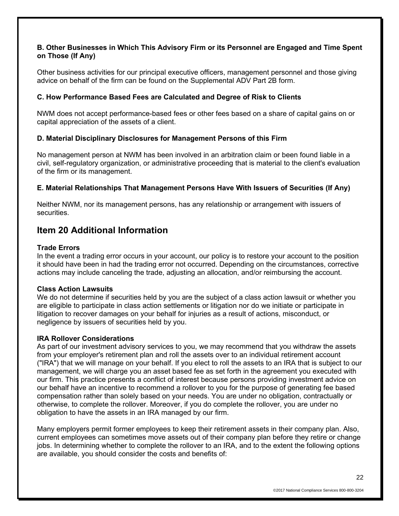### **B. Other Businesses in Which This Advisory Firm or its Personnel are Engaged and Time Spent on Those (If Any)**

Other business activities for our principal executive officers, management personnel and those giving advice on behalf of the firm can be found on the Supplemental ADV Part 2B form.

### **C. How Performance Based Fees are Calculated and Degree of Risk to Clients**

NWM does not accept performance-based fees or other fees based on a share of capital gains on or capital appreciation of the assets of a client.

### **D. Material Disciplinary Disclosures for Management Persons of this Firm**

No management person at NWM has been involved in an arbitration claim or been found liable in a civil, self-regulatory organization, or administrative proceeding that is material to the client's evaluation of the firm or its management.

#### **E. Material Relationships That Management Persons Have With Issuers of Securities (If Any)**

Neither NWM, nor its management persons, has any relationship or arrangement with issuers of securities.

## **Item 20 Additional Information**

#### **Trade Errors**

In the event a trading error occurs in your account, our policy is to restore your account to the position it should have been in had the trading error not occurred. Depending on the circumstances, corrective actions may include canceling the trade, adjusting an allocation, and/or reimbursing the account.

#### **Class Action Lawsuits**

We do not determine if securities held by you are the subject of a class action lawsuit or whether you are eligible to participate in class action settlements or litigation nor do we initiate or participate in litigation to recover damages on your behalf for injuries as a result of actions, misconduct, or negligence by issuers of securities held by you.

#### **IRA Rollover Considerations**

As part of our investment advisory services to you, we may recommend that you withdraw the assets from your employer's retirement plan and roll the assets over to an individual retirement account ("IRA") that we will manage on your behalf. If you elect to roll the assets to an IRA that is subject to our management, we will charge you an asset based fee as set forth in the agreement you executed with our firm. This practice presents a conflict of interest because persons providing investment advice on our behalf have an incentive to recommend a rollover to you for the purpose of generating fee based compensation rather than solely based on your needs. You are under no obligation, contractually or otherwise, to complete the rollover. Moreover, if you do complete the rollover, you are under no obligation to have the assets in an IRA managed by our firm.

Many employers permit former employees to keep their retirement assets in their company plan. Also, current employees can sometimes move assets out of their company plan before they retire or change jobs. In determining whether to complete the rollover to an IRA, and to the extent the following options are available, you should consider the costs and benefits of: